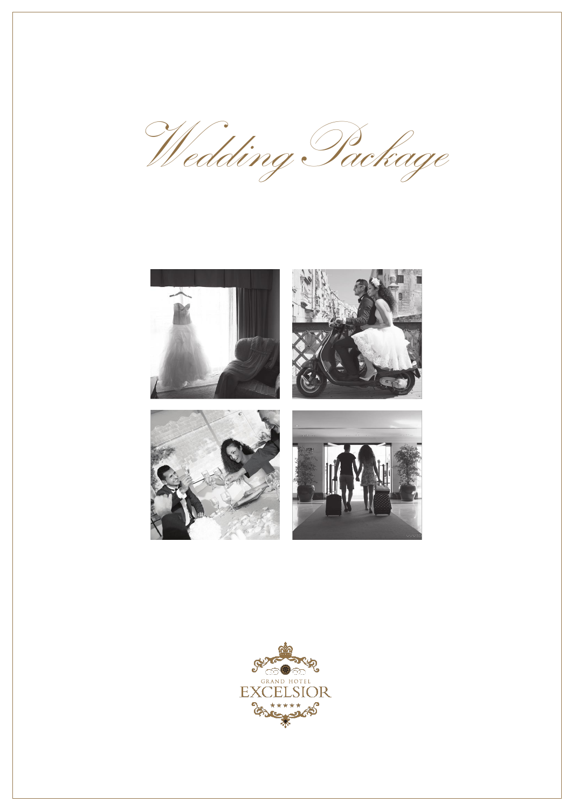Wedding Package **BRSD** SE GRAND HOTEL CELSIOR **EXC**  $*$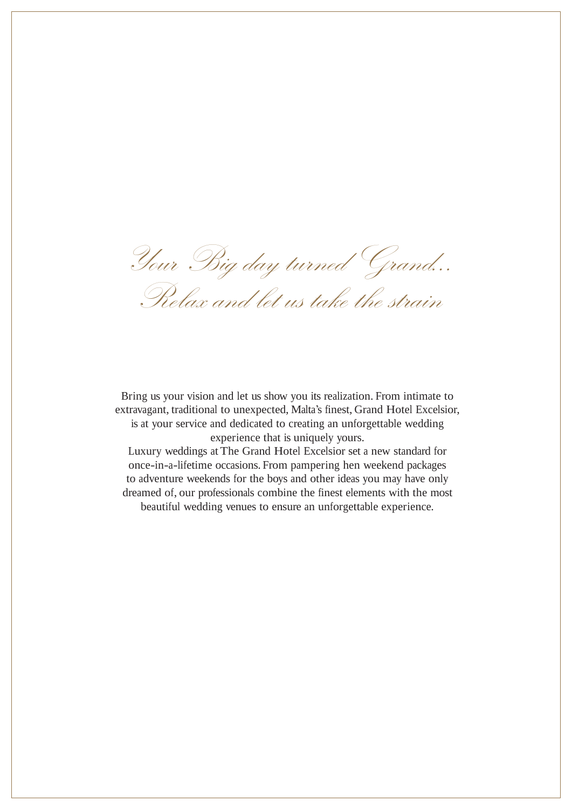Your Big dayturned Grand… Relax and let us take the strain

Bring us your vision and let us show you its realization. From intimate to

extravagant, traditional to unexpected, Malta's finest, Grand Hotel Excelsior, is at your service and dedicated to creating an unforgettable wedding experience that is uniquely yours.

Luxury weddings atThe Grand Hotel Excelsior set a new standard for once-in-a-lifetime occasions. From pampering hen weekend packages to adventure weekends for the boys and other ideas you may have only dreamed of, our professionals combine the finest elements with the most beautiful wedding venues to ensure an unforgettable experience.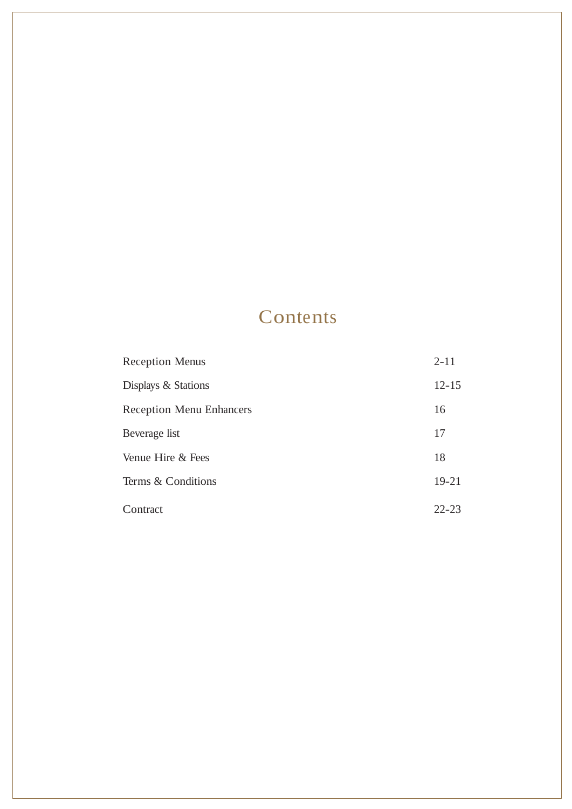## Contents

| <b>Reception Menus</b>          | $2 - 11$  |
|---------------------------------|-----------|
| Displays & Stations             | $12 - 15$ |
| <b>Reception Menu Enhancers</b> | 16        |
| Beverage list                   | 17        |
| Venue Hire & Fees               | 18        |
| Terms & Conditions              | $19 - 21$ |
| Contract                        | $22 - 23$ |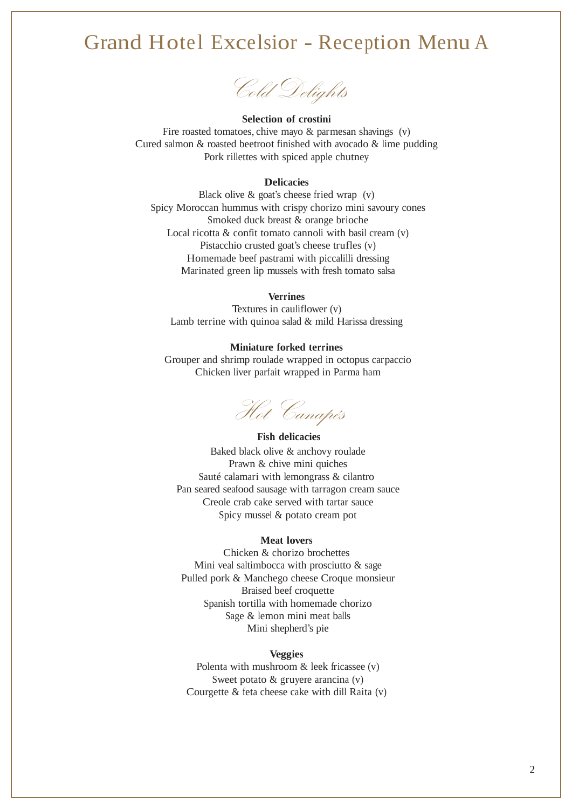## Grand Hotel Excelsior - Reception Menu A



#### **Selection of crostini**

Fire roasted tomatoes, chive mayo & parmesan shavings (v) Cured salmon & roasted beetroot finished with avocado & lime pudding Pork rillettes with spiced apple chutney

### **Delicacies**

Black olive & goat's cheese fried wrap (v) Spicy Moroccan hummus with crispy chorizo mini savoury cones Smoked duck breast & orange brioche Local ricotta & confit tomato cannoli with basil cream (v) Pistacchio crusted goat's cheese trufles (v) Homemade beef pastrami with piccalilli dressing Marinated green lip mussels with fresh tomato salsa

#### **Verrines**

Textures in cauliflower (v) Lamb terrine with quinoa salad & mild Harissa dressing

#### **Miniature forked terrines**

Grouper and shrimp roulade wrapped in octopus carpaccio Chicken liver parfait wrapped in Parma ham

Hot Canapés

### **Fish delicacies**

Baked black olive & anchovy roulade Prawn & chive mini quiches Sauté calamari with lemongrass & cilantro Pan seared seafood sausage with tarragon cream sauce Creole crab cake served with tartar sauce Spicy mussel & potato cream pot

### **Meat lovers**

Chicken & chorizo brochettes Mini veal saltimbocca with prosciutto & sage Pulled pork & Manchego cheese Croque monsieur Braised beef croquette Spanish tortilla with homemade chorizo Sage & lemon mini meat balls Mini shepherd's pie

#### **Veggies**

Polenta with mushroom & leek fricassee (v) Sweet potato & gruyere arancina (v) Courgette & feta cheese cake with dill Raita (v)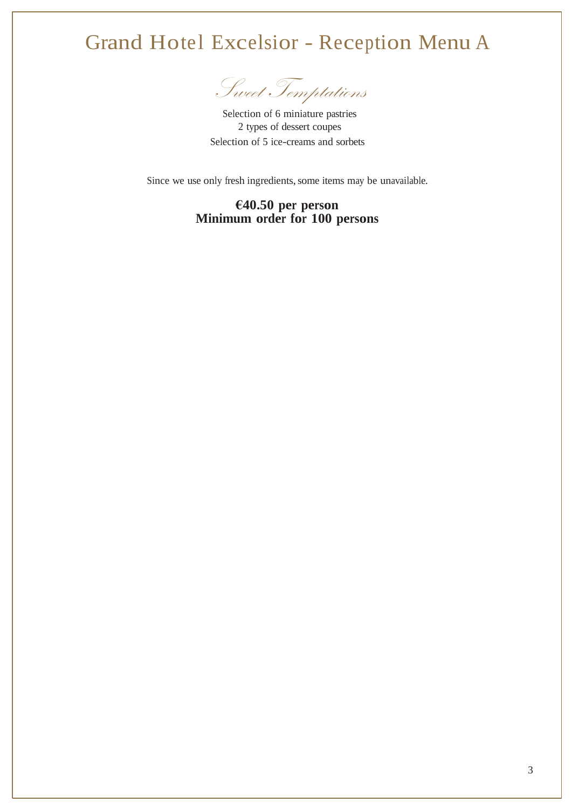## Grand Hotel Excelsior - Reception Menu A

Sweet Temptations

Selection of 6 miniature pastries 2 types of dessert coupes Selection of 5 ice-creams and sorbets

Since we use only fresh ingredients, some items may be unavailable.

## **€40.50 per person Minimum order for 100 persons**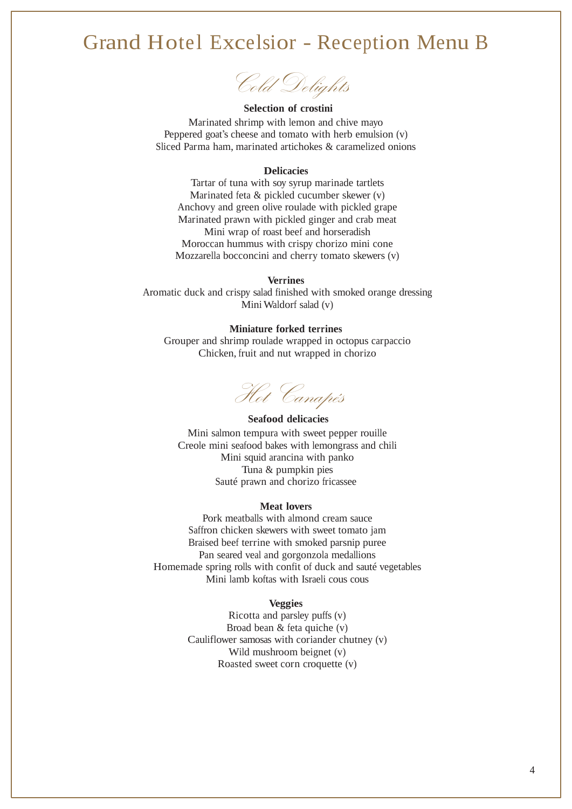## Grand Hotel Excelsior - Reception Menu B

Cold Delights

#### **Selection of crostini**

Marinated shrimp with lemon and chive mayo Peppered goat's cheese and tomato with herb emulsion (v) Sliced Parma ham, marinated artichokes & caramelized onions

#### **Delicacies**

Tartar of tuna with soy syrup marinade tartlets Marinated feta & pickled cucumber skewer (v) Anchovy and green olive roulade with pickled grape Marinated prawn with pickled ginger and crab meat Mini wrap of roast beef and horseradish Moroccan hummus with crispy chorizo mini cone Mozzarella bocconcini and cherry tomato skewers (v)

#### **Verrines**

Aromatic duck and crispy salad finished with smoked orange dressing Mini Waldorf salad (v)

### **Miniature forked terrines**

Grouper and shrimp roulade wrapped in octopus carpaccio Chicken, fruit and nut wrapped in chorizo

Hot Canapés

#### **Seafood delicacies**

Mini salmon tempura with sweet pepper rouille Creole mini seafood bakes with lemongrass and chili Mini squid arancina with panko Tuna & pumpkin pies Sauté prawn and chorizo fricassee

#### **Meat lovers**

Pork meatballs with almond cream sauce Saffron chicken skewers with sweet tomato jam Braised beef terrine with smoked parsnip puree Pan seared veal and gorgonzola medallions Homemade spring rolls with confit of duck and sauté vegetables Mini lamb koftas with Israeli cous cous

### **Veggies**

Ricotta and parsley puffs (v) Broad bean & feta quiche (v) Cauliflower samosas with coriander chutney (v) Wild mushroom beignet (v) Roasted sweet corn croquette (v)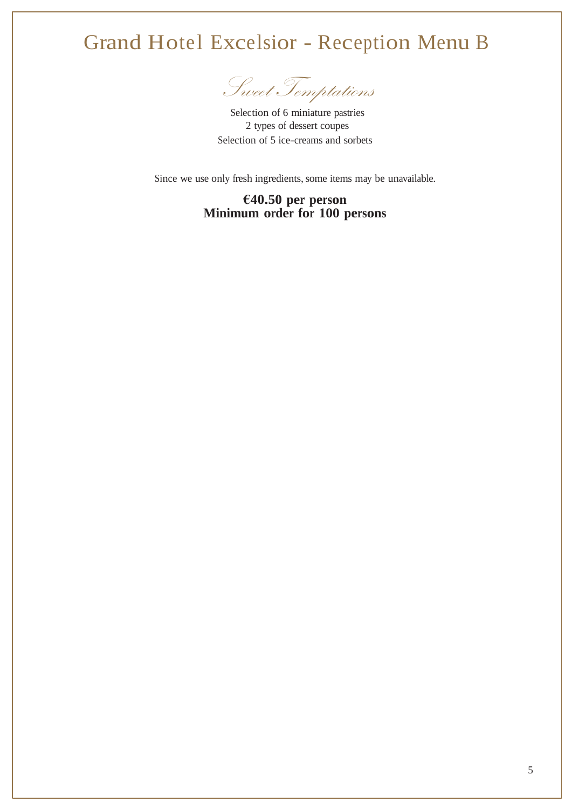## Grand Hotel Excelsior - Reception Menu B

Sweet Temptations

Selection of 6 miniature pastries 2 types of dessert coupes Selection of 5 ice-creams and sorbets

Since we use only fresh ingredients, some items may be unavailable.

## **€40.50 per person Minimum order for 100 persons**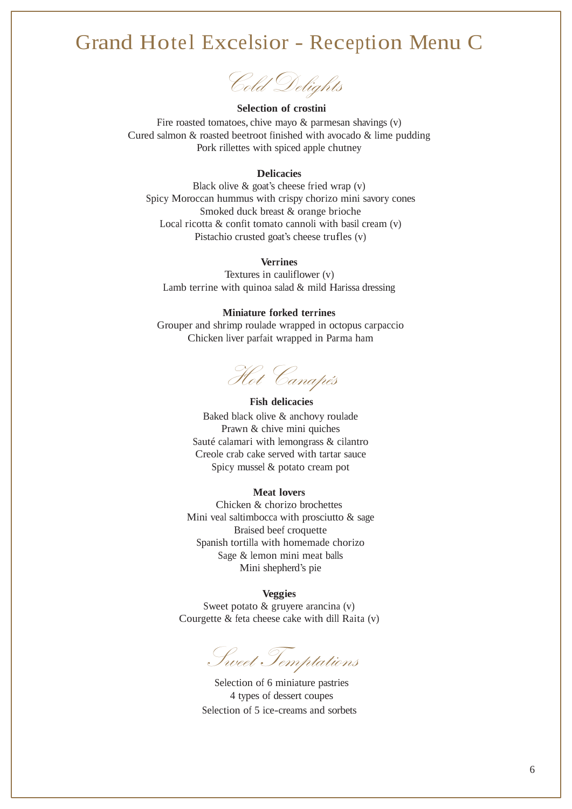## Grand Hotel Excelsior - Reception Menu C

Cold Delights

#### **Selection of crostini**

Fire roasted tomatoes, chive mayo  $\&$  parmesan shavings  $(v)$ Cured salmon & roasted beetroot finished with avocado & lime pudding Pork rillettes with spiced apple chutney

### **Delicacies**

Black olive  $\&$  goat's cheese fried wrap  $(v)$ Spicy Moroccan hummus with crispy chorizo mini savory cones Smoked duck breast & orange brioche Local ricotta  $\&$  confit tomato cannoli with basil cream  $(v)$ Pistachio crusted goat's cheese trufles (v)

### **Verrines**

Textures in cauliflower (v) Lamb terrine with quinoa salad & mild Harissa dressing

### **Miniature forked terrines**

Grouper and shrimp roulade wrapped in octopus carpaccio Chicken liver parfait wrapped in Parma ham

Hot Canapés

#### **Fish delicacies**

Baked black olive & anchovy roulade Prawn & chive mini quiches Sauté calamari with lemongrass & cilantro Creole crab cake served with tartar sauce Spicy mussel & potato cream pot

### **Meat lovers**

Chicken & chorizo brochettes Mini veal saltimbocca with prosciutto & sage Braised beef croquette Spanish tortilla with homemade chorizo Sage & lemon mini meat balls Mini shepherd's pie

## **Veggies**

Sweet potato & gruyere arancina (v) Courgette & feta cheese cake with dill Raita (v)

Sweet Temptations

Selection of 6 miniature pastries 4 types of dessert coupes Selection of 5 ice-creams and sorbets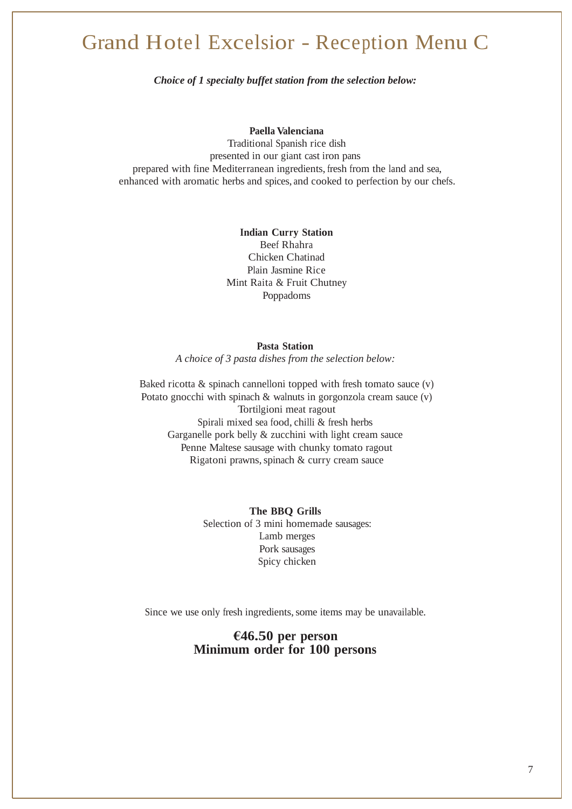## Grand Hotel Excelsior - Reception Menu C

*Choice of 1 specialty buffet station from the selection below:*

### **Paella Valenciana**

Traditional Spanish rice dish presented in our giant cast iron pans prepared with fine Mediterranean ingredients, fresh from the land and sea, enhanced with aromatic herbs and spices, and cooked to perfection by our chefs.

### **Indian Curry Station** Beef Rhahra Chicken Chatinad Plain Jasmine Rice Mint Raita & Fruit Chutney Poppadoms

### **Pasta Station**

*A choice of 3 pasta dishes from the selection below:*

Baked ricotta  $\&$  spinach cannelloni topped with fresh tomato sauce  $(v)$ Potato gnocchi with spinach & walnuts in gorgonzola cream sauce (v) Tortilgioni meat ragout Spirali mixed sea food, chilli & fresh herbs Garganelle pork belly & zucchini with light cream sauce Penne Maltese sausage with chunky tomato ragout Rigatoni prawns, spinach & curry cream sauce

> **The BBQ Grills** Selection of 3 mini homemade sausages: Lamb merges Pork sausages Spicy chicken

Since we use only fresh ingredients, some items may be unavailable.

## **€46.50 per person Minimum order for 100 persons**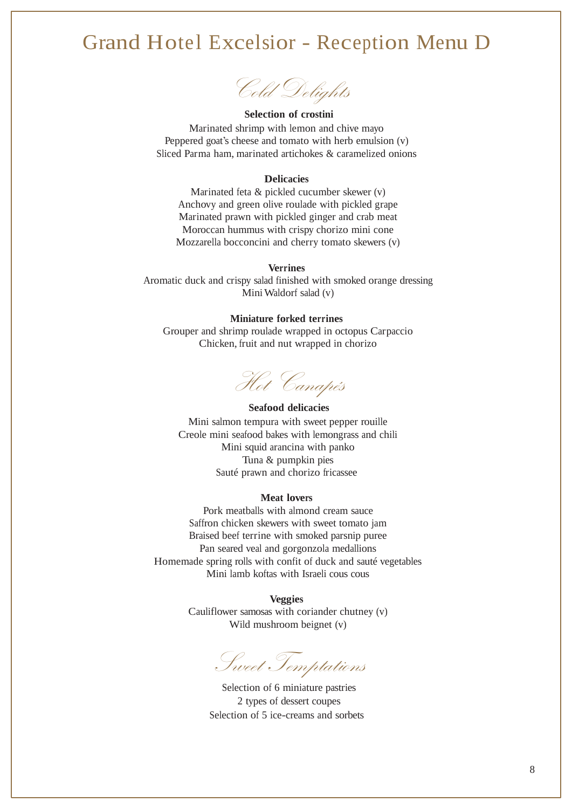## Grand Hotel Excelsior - Reception Menu D

Cold Delights

## **Selection of crostini** Marinated shrimp with lemon and chive mayo

Peppered goat's cheese and tomato with herb emulsion (v) Sliced Parma ham, marinated artichokes & caramelized onions

### **Delicacies**

Marinated feta & pickled cucumber skewer (v) Anchovy and green olive roulade with pickled grape Marinated prawn with pickled ginger and crab meat Moroccan hummus with crispy chorizo mini cone Mozzarella bocconcini and cherry tomato skewers (v)

### **Verrines**

Aromatic duck and crispy salad finished with smoked orange dressing Mini Waldorf salad (v)

### **Miniature forked terrines**

Grouper and shrimp roulade wrapped in octopus Carpaccio Chicken, fruit and nut wrapped in chorizo

Hot Canapés

#### **Seafood delicacies**

Mini salmon tempura with sweet pepper rouille Creole mini seafood bakes with lemongrass and chili Mini squid arancina with panko Tuna & pumpkin pies Sauté prawn and chorizo fricassee

#### **Meat lovers**

Pork meatballs with almond cream sauce Saffron chicken skewers with sweet tomato jam Braised beef terrine with smoked parsnip puree Pan seared veal and gorgonzola medallions Homemade spring rolls with confit of duck and sauté vegetables Mini lamb koftas with Israeli cous cous

> **Veggies** Cauliflower samosas with coriander chutney (v) Wild mushroom beignet (v)

Sweet Temptations

Selection of 6 miniature pastries 2 types of dessert coupes Selection of 5 ice-creams and sorbets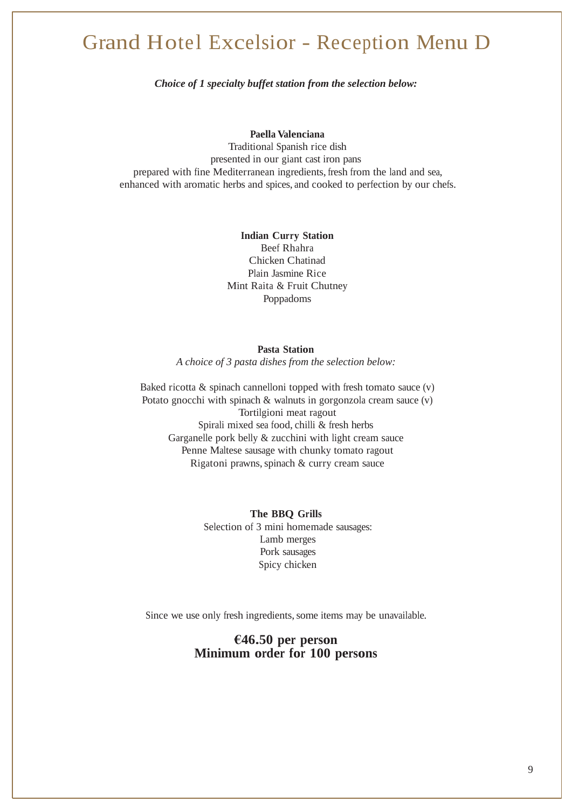## Grand Hotel Excelsior - Reception Menu D

*Choice of 1 specialty buffet station from the selection below:*

### **Paella Valenciana**

Traditional Spanish rice dish presented in our giant cast iron pans prepared with fine Mediterranean ingredients, fresh from the land and sea, enhanced with aromatic herbs and spices, and cooked to perfection by our chefs.

### **Indian Curry Station** Beef Rhahra Chicken Chatinad Plain Jasmine Rice Mint Raita & Fruit Chutney Poppadoms

#### **Pasta Station**

*A choice of 3 pasta dishes from the selection below:*

Baked ricotta  $\&$  spinach cannelloni topped with fresh tomato sauce  $(v)$ Potato gnocchi with spinach & walnuts in gorgonzola cream sauce (v) Tortilgioni meat ragout Spirali mixed sea food, chilli & fresh herbs Garganelle pork belly & zucchini with light cream sauce Penne Maltese sausage with chunky tomato ragout Rigatoni prawns, spinach & curry cream sauce

> **The BBQ Grills** Selection of 3 mini homemade sausages: Lamb merges Pork sausages Spicy chicken

Since we use only fresh ingredients, some items may be unavailable.

## **€46.50 per person Minimum order for 100 persons**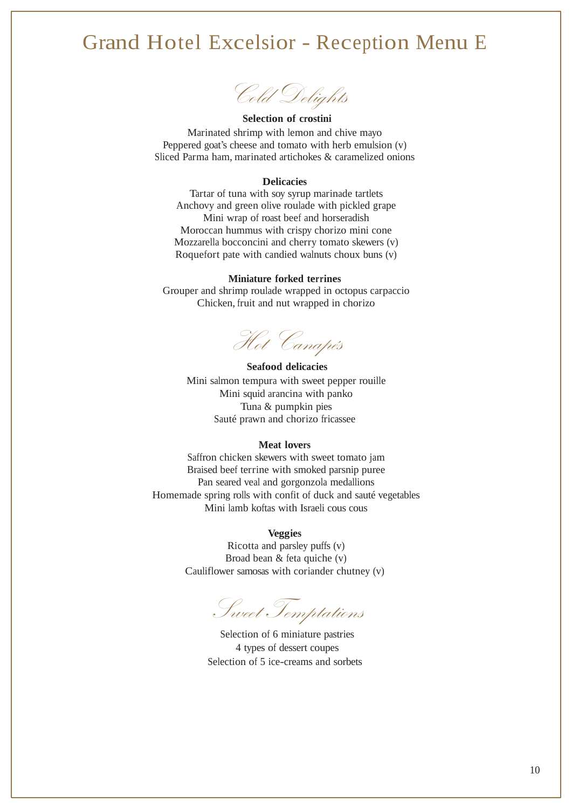## Grand Hotel Excelsior - Reception Menu E

Cold Delights

**Selection of crostini** Marinated shrimp with lemon and chive mayo Peppered goat's cheese and tomato with herb emulsion (v) Sliced Parma ham, marinated artichokes & caramelized onions

### **Delicacies**

Tartar of tuna with soy syrup marinade tartlets Anchovy and green olive roulade with pickled grape Mini wrap of roast beef and horseradish Moroccan hummus with crispy chorizo mini cone Mozzarella bocconcini and cherry tomato skewers (v) Roquefort pate with candied walnuts choux buns (v)

### **Miniature forked terrines**

Grouper and shrimp roulade wrapped in octopus carpaccio Chicken, fruit and nut wrapped in chorizo

Hot Canapés

### **Seafood delicacies**

Mini salmon tempura with sweet pepper rouille Mini squid arancina with panko Tuna & pumpkin pies Sauté prawn and chorizo fricassee

#### **Meat lovers**

Saffron chicken skewers with sweet tomato jam Braised beef terrine with smoked parsnip puree Pan seared veal and gorgonzola medallions Homemade spring rolls with confit of duck and sauté vegetables Mini lamb koftas with Israeli cous cous

### **Veggies**

Ricotta and parsley puffs (v) Broad bean & feta quiche (v) Cauliflower samosas with coriander chutney (v)

Sweet Temptations

Selection of 6 miniature pastries 4 types of dessert coupes Selection of 5 ice-creams and sorbets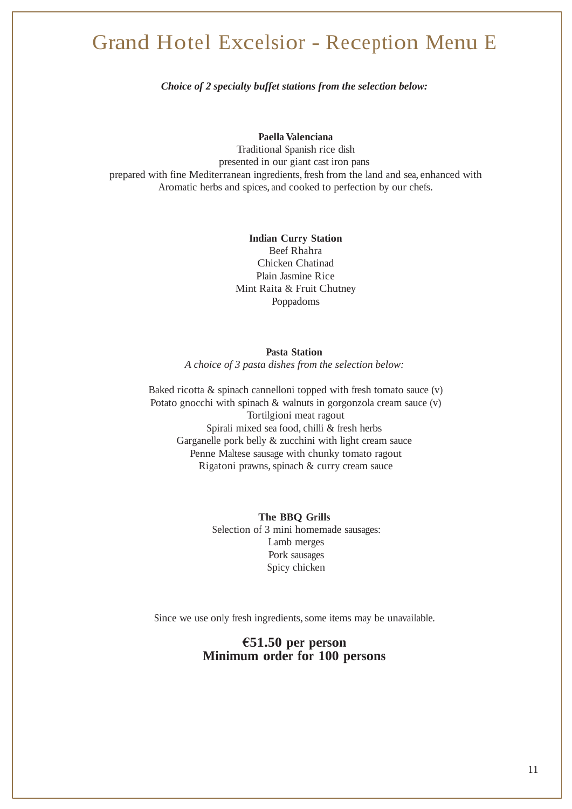## Grand Hotel Excelsior - Reception Menu E

*Choice of 2 specialty buffet stations from the selection below:*

**Paella Valenciana**

Traditional Spanish rice dish presented in our giant cast iron pans prepared with fine Mediterranean ingredients, fresh from the land and sea, enhanced with Aromatic herbs and spices, and cooked to perfection by our chefs.

## **Indian Curry Station**

Beef Rhahra Chicken Chatinad Plain Jasmine Rice Mint Raita & Fruit Chutney Poppadoms

### **Pasta Station**

*A choice of 3 pasta dishes from the selection below:*

Baked ricotta  $\&$  spinach cannelloni topped with fresh tomato sauce  $(v)$ Potato gnocchi with spinach & walnuts in gorgonzola cream sauce (v) Tortilgioni meat ragout Spirali mixed sea food, chilli & fresh herbs Garganelle pork belly  $&$  zucchini with light cream sauce Penne Maltese sausage with chunky tomato ragout Rigatoni prawns, spinach & curry cream sauce

> **The BBQ Grills** Selection of 3 mini homemade sausages: Lamb merges Pork sausages Spicy chicken

Since we use only fresh ingredients, some items may be unavailable.

## **€51.50 per person Minimum order for 100 persons**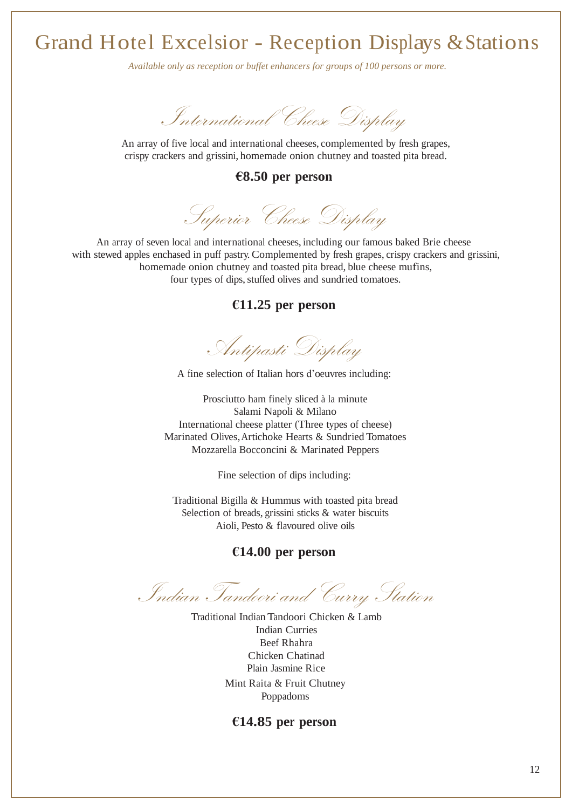*Available only as reception or buffet enhancers for groups of 100 persons or more.*



An array of five local and international cheeses, complemented by fresh grapes, crispy crackers and grissini, homemade onion chutney and toasted pita bread.

## **€8.50 per person**

Superior Cheese Display

An array of seven local and international cheeses, including our famous baked Brie cheese with stewed apples enchased in puff pastry. Complemented by fresh grapes, crispy crackers and grissini, homemade onion chutney and toasted pita bread, blue cheese mufins, four types of dips, stuffed olives and sundried tomatoes.

## **€11.25 per person**

Antipasti Display

A fine selection of Italian hors d'oeuvres including:

Prosciutto ham finely sliced à la minute Salami Napoli & Milano International cheese platter (Three types of cheese) Marinated Olives,Artichoke Hearts & Sundried Tomatoes Mozzarella Bocconcini & Marinated Peppers

Fine selection of dips including:

Traditional Bigilla & Hummus with toasted pita bread Selection of breads, grissini sticks & water biscuits Aioli, Pesto & flavoured olive oils

## **€14.00 per person**

Indian Tandoori and Curry Station

Traditional IndianTandoori Chicken & Lamb Indian Curries Beef Rhahra Chicken Chatinad Plain Jasmine Rice Mint Raita & Fruit Chutney Poppadoms

### **€14.85 per person**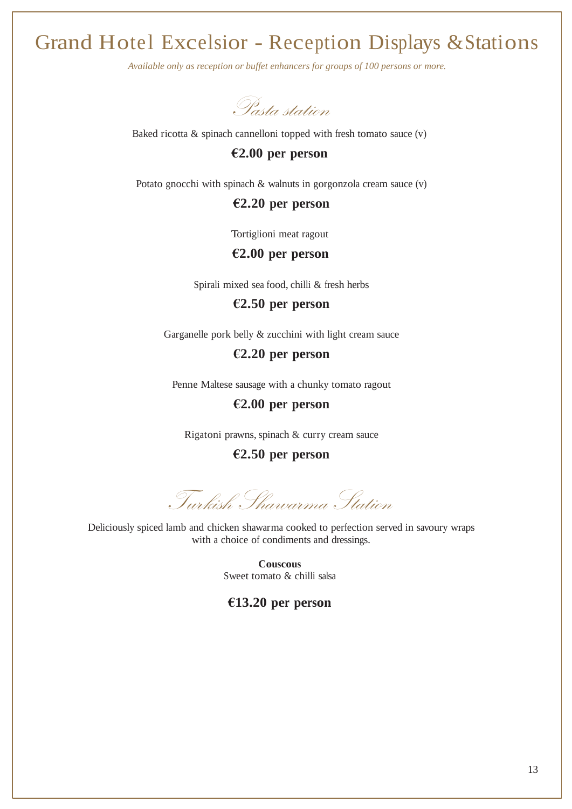*Available only as reception or buffet enhancers for groups of 100 persons or more.*

Pasta station

Baked ricotta  $\&$  spinach cannelloni topped with fresh tomato sauce  $(v)$ 

## **€2.00 per person**

Potato gnocchi with spinach & walnuts in gorgonzola cream sauce (v)

## **€2.20 per person**

Tortiglioni meat ragout

## **€2.00 per person**

Spirali mixed sea food, chilli & fresh herbs

**€2.50 per person**

Garganelle pork belly & zucchini with light cream sauce

**€2.20 per person**

Penne Maltese sausage with a chunky tomato ragout

## **€2.00 per person**

Rigatoni prawns, spinach & curry cream sauce

**€2.50 per person**

Turkish Shawarma Station

Deliciously spiced lamb and chicken shawarma cooked to perfection served in savoury wraps with a choice of condiments and dressings.

> **Couscous** Sweet tomato & chilli salsa

**€13.20 per person**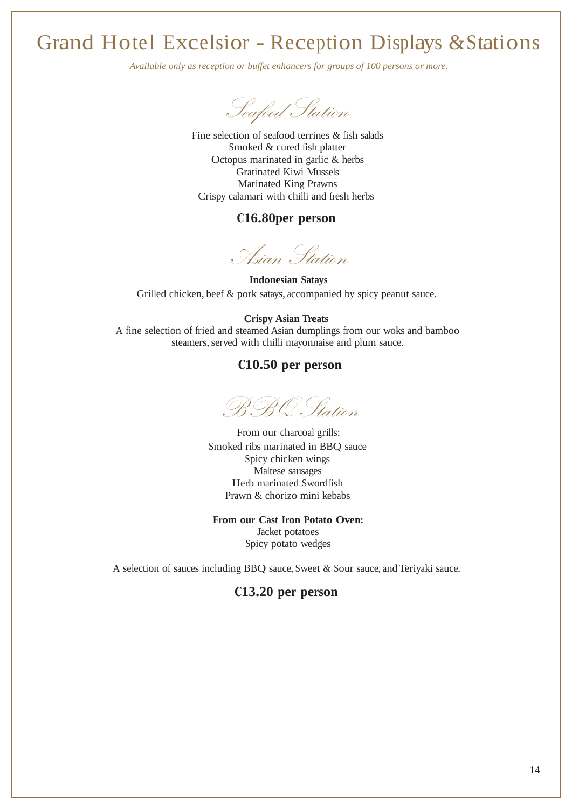*Available only as reception or buffet enhancers for groups of 100 persons or more.*

Seafood Station

Fine selection of seafood terrines & fish salads Smoked & cured fish platter Octopus marinated in garlic & herbs Gratinated Kiwi Mussels Marinated King Prawns Crispy calamari with chilli and fresh herbs

## **€16.80per person**

Asian Station

**Indonesian Satays** Grilled chicken, beef & pork satays, accompanied by spicy peanut sauce.

#### **Crispy Asian Treats**

A fine selection of fried and steamed Asian dumplings from our woks and bamboo steamers, served with chilli mayonnaise and plum sauce.

## **€10.50 per person**

BBQ Station

From our charcoal grills: Smoked ribs marinated in BBQ sauce Spicy chicken wings Maltese sausages Herb marinated Swordfish Prawn & chorizo mini kebabs

#### **From our Cast Iron Potato Oven:**

Jacket potatoes Spicy potato wedges

A selection of sauces including BBQ sauce, Sweet & Sour sauce, and Teriyaki sauce.

## **€13.20 per person**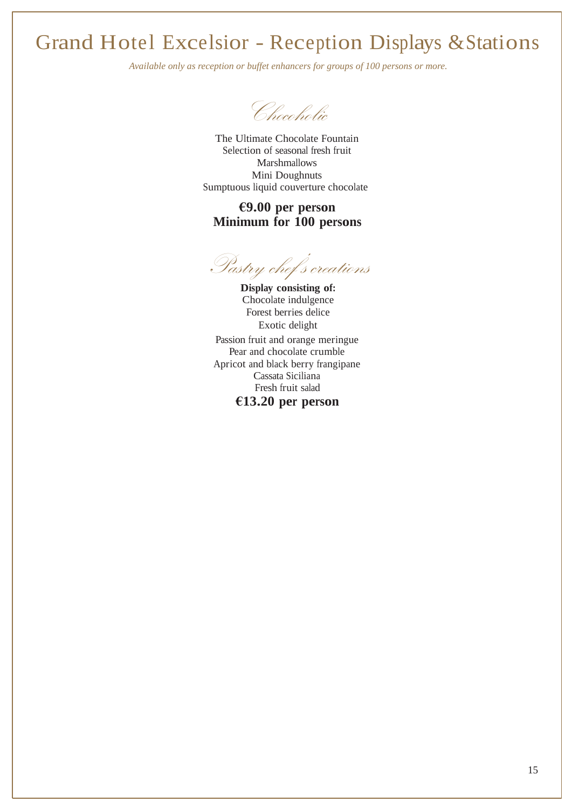*Available only as reception or buffet enhancers for groups of 100 persons or more.*

Chocoholic

The Ultimate Chocolate Fountain Selection of seasonal fresh fruit Marshmallows Mini Doughnuts Sumptuous liquid couverture chocolate

## **€9.00 per person Minimum for 100 persons**

Pastry chef's creations

**Display consisting of:** Chocolate indulgence Forest berries delice Exotic delight Passion fruit and orange meringue Pear and chocolate crumble Apricot and black berry frangipane Cassata Siciliana Fresh fruit salad

**€13.20 per person**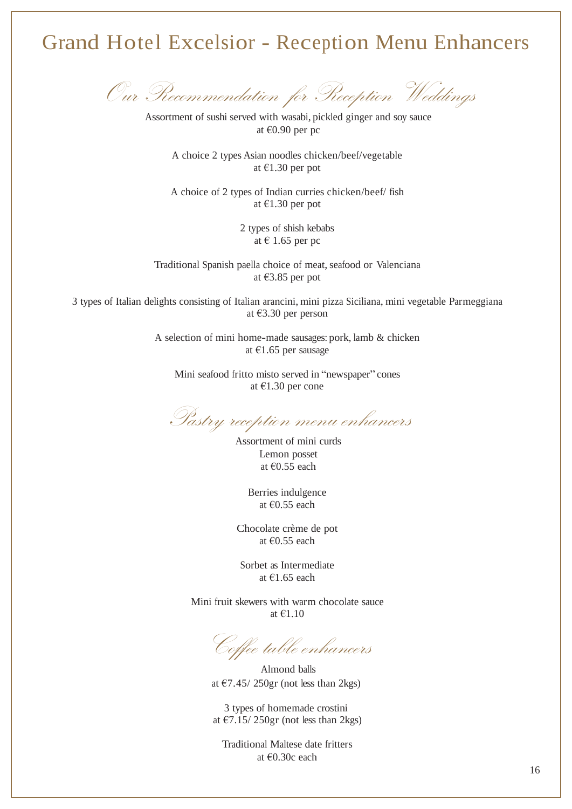## Grand Hotel Excelsior - Reception Menu Enhancers

Our Recommendation for Reception Weddings

Assortment of sushi served with wasabi, pickled ginger and soy sauce at €0.90 per pc

A choice 2 types Asian noodles chicken/beef/vegetable at €1.30 per pot

A choice of 2 types of Indian curries chicken/beef/ fish at €1.30 per pot

> 2 types of shish kebabs at € 1.65 per pc

Traditional Spanish paella choice of meat, seafood or Valenciana at €3.85 per pot

3 types of Italian delights consisting of Italian arancini, mini pizza Siciliana, mini vegetable Parmeggiana at €3.30 per person

> A selection of mini home-made sausages: pork, lamb & chicken at €1.65 per sausage

Mini seafood fritto misto served in "newspaper" cones at €1.30 per cone

Pastry reception menu enhancers

Assortment of mini curds Lemon posset at €0.55 each

> Berries indulgence at €0.55 each

Chocolate crème de pot at €0.55 each

Sorbet as Intermediate at €1.65 each

Mini fruit skewers with warm chocolate sauce at €1.10

Coffee table enhancers

Almond balls at  $\epsilon$ 7.45/250gr (not less than 2kgs)

3 types of homemade crostini at  $\epsilon$ 7.15/250gr (not less than 2kgs)

Traditional Maltese date fritters at €0.30c each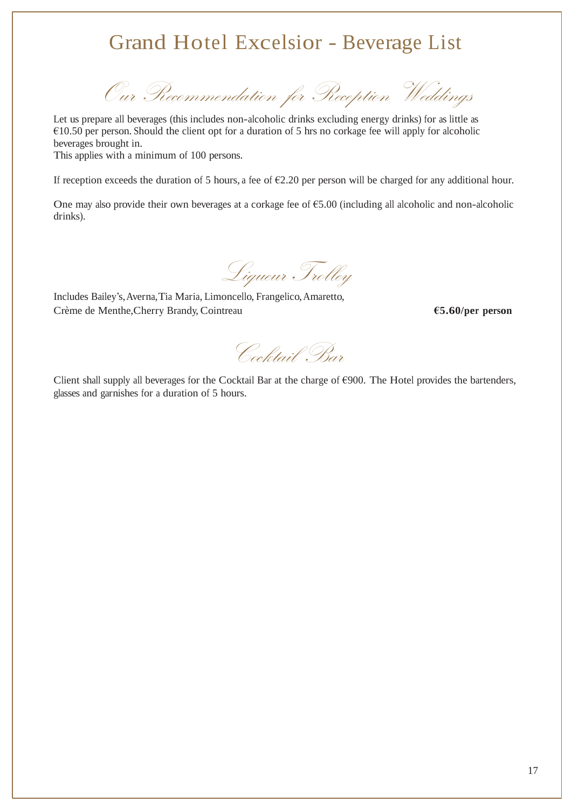## Grand Hotel Excelsior - Beverage List

Our Recommendation for Reception Weddings

Let us prepare all beverages (this includes non-alcoholic drinks excluding energy drinks) for as little as €10.50 per person. Should the client opt for a duration of 5 hrs no corkage fee will apply for alcoholic beverages brought in.

This applies with a minimum of 100 persons.

If reception exceeds the duration of 5 hours, a fee of  $\epsilon$ 2.20 per person will be charged for any additional hour.

One may also provide their own beverages at a corkage fee of €5.00 (including all alcoholic and non-alcoholic drinks).

Liqueur Trolley

Includes Bailey's,Averna,Tia Maria, Limoncello, Frangelico,Amaretto, Crème de Menthe,Cherry Brandy, Cointreau **€5.60/per person**

Cocktail Bar

Client shall supply all beverages for the Cocktail Bar at the charge of  $\epsilon$ 900. The Hotel provides the bartenders, glasses and garnishes for a duration of 5 hours.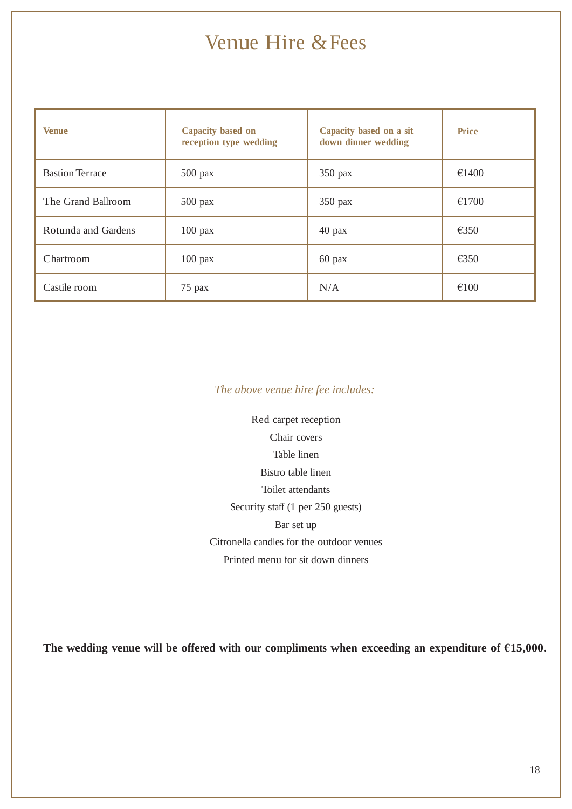## Venue Hire &Fees

| <b>Venue</b>           | Capacity based on<br>reception type wedding | Capacity based on a sit<br>down dinner wedding | <b>Price</b>   |
|------------------------|---------------------------------------------|------------------------------------------------|----------------|
| <b>Bastion Terrace</b> | $500$ pax                                   | 350 pax                                        | €1400          |
| The Grand Ballroom     | $500$ pax                                   | 350 pax                                        | €1700          |
| Rotunda and Gardens    | $100$ pax                                   | $40$ pax                                       | €350           |
| Chartroom              | $100$ pax                                   | $60$ pax                                       | $\epsilon$ 350 |
| Castile room           | $75$ pax                                    | N/A                                            | €100           |

## *The above venue hire fee includes:*

Red carpet reception Chair covers Table linen Bistro table linen Toilet attendants Security staff (1 per 250 guests) Bar set up Citronella candles for the outdoor venues Printed menu for sit down dinners

**The wedding venue will be offered with our compliments when exceeding an expenditure of €15,000.**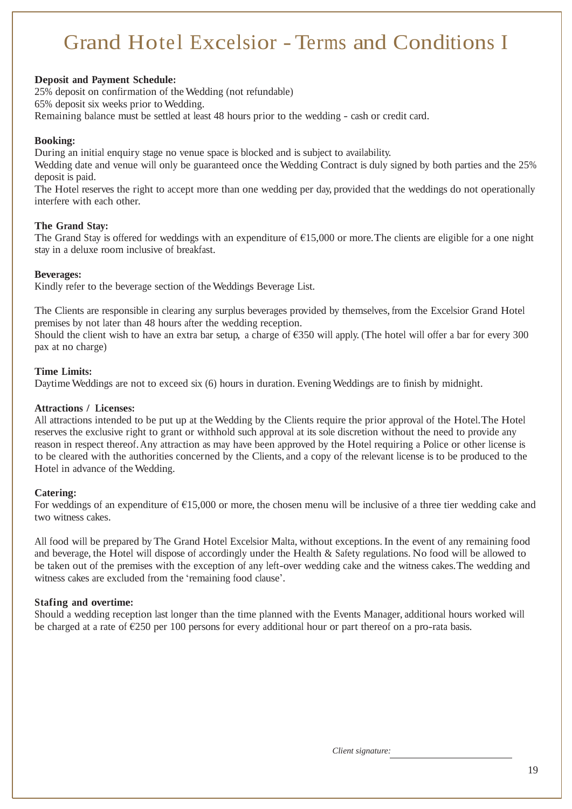## Grand Hotel Excelsior -Terms and Conditions I

### **Deposit and Payment Schedule:**

25% deposit on confirmation of the Wedding (not refundable)

65% deposit six weeks prior toWedding.

Remaining balance must be settled at least 48 hours prior to the wedding - cash or credit card.

## **Booking:**

During an initial enquiry stage no venue space is blocked and is subject to availability.

Wedding date and venue will only be guaranteed once the Wedding Contract is duly signed by both parties and the 25% deposit is paid.

The Hotel reserves the right to accept more than one wedding per day, provided that the weddings do not operationally interfere with each other.

## **The Grand Stay:**

The Grand Stay is offered for weddings with an expenditure of  $\epsilon$ 15,000 or more. The clients are eligible for a one night stay in a deluxe room inclusive of breakfast.

### **Beverages:**

Kindly refer to the beverage section of the Weddings Beverage List.

The Clients are responsible in clearing any surplus beverages provided by themselves, from the Excelsior Grand Hotel premises by not later than 48 hours after the wedding reception.

Should the client wish to have an extra bar setup, a charge of  $\epsilon$ 350 will apply. (The hotel will offer a bar for every 300 pax at no charge)

### **Time Limits:**

Daytime Weddings are not to exceed six (6) hours in duration. Evening Weddings are to finish by midnight.

### **Attractions / Licenses:**

All attractions intended to be put up at the Wedding by the Clients require the prior approval of the Hotel.The Hotel reserves the exclusive right to grant or withhold such approval at its sole discretion without the need to provide any reason in respect thereof.Any attraction as may have been approved by the Hotel requiring a Police or other license is to be cleared with the authorities concerned by the Clients, and a copy of the relevant license is to be produced to the Hotel in advance of theWedding.

## **Catering:**

For weddings of an expenditure of  $E15,000$  or more, the chosen menu will be inclusive of a three tier wedding cake and two witness cakes.

All food will be prepared by The Grand Hotel Excelsior Malta, without exceptions. In the event of any remaining food and beverage, the Hotel will dispose of accordingly under the Health & Safety regulations. No food will be allowed to be taken out of the premises with the exception of any left-over wedding cake and the witness cakes.The wedding and witness cakes are excluded from the 'remaining food clause'.

## **Stafing and overtime:**

Should a wedding reception last longer than the time planned with the Events Manager, additional hours worked will be charged at a rate of  $\epsilon$ 250 per 100 persons for every additional hour or part thereof on a pro-rata basis.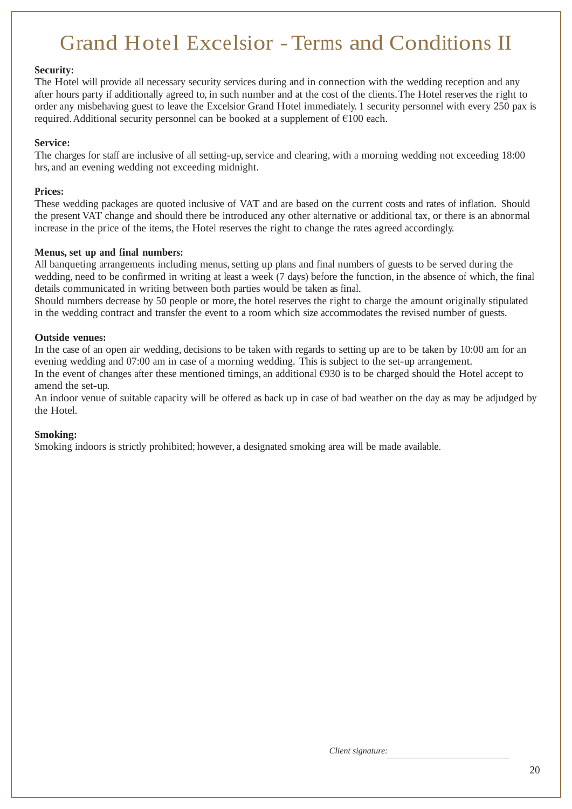## Grand Hotel Excelsior -Terms and Conditions II

### **Security:**

The Hotel will provide all necessary security services during and in connection with the wedding reception and any after hours party if additionally agreed to, in such number and at the cost of the clients.The Hotel reserves the right to order any misbehaving guest to leave the Excelsior Grand Hotel immediately. 1 security personnel with every 250 pax is required. Additional security personnel can be booked at a supplement of  $E100$  each.

### **Service:**

The charges for staff are inclusive of all setting-up, service and clearing, with a morning wedding not exceeding 18:00 hrs, and an evening wedding not exceeding midnight.

### **Prices:**

These wedding packages are quoted inclusive of VAT and are based on the current costs and rates of inflation. Should the present VAT change and should there be introduced any other alternative or additional tax, or there is an abnormal increase in the price of the items, the Hotel reserves the right to change the rates agreed accordingly.

### **Menus, set up and final numbers:**

All banqueting arrangements including menus, setting up plans and final numbers of guests to be served during the wedding, need to be confirmed in writing at least a week (7 days) before the function, in the absence of which, the final details communicated in writing between both parties would be taken as final.

Should numbers decrease by 50 people or more, the hotel reserves the right to charge the amount originally stipulated in the wedding contract and transfer the event to a room which size accommodates the revised number of guests.

### **Outside venues:**

In the case of an open air wedding, decisions to be taken with regards to setting up are to be taken by 10:00 am for an evening wedding and 07:00 am in case of a morning wedding. This is subject to the set-up arrangement.

In the event of changes after these mentioned timings, an additional  $\epsilon$ 930 is to be charged should the Hotel accept to amend the set-up.

An indoor venue of suitable capacity will be offered as back up in case of bad weather on the day as may be adjudged by the Hotel.

### **Smoking:**

Smoking indoors is strictly prohibited; however, a designated smoking area will be made available.

*Client signature:*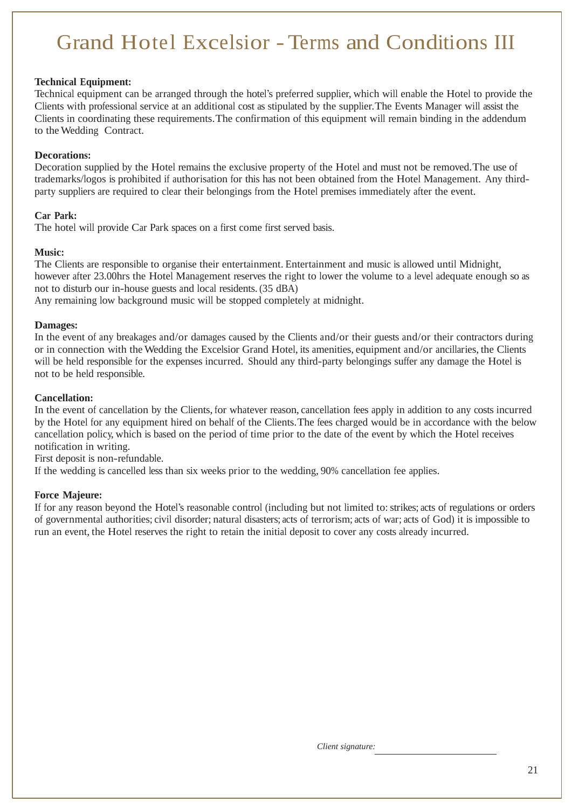## Grand Hotel Excelsior -Terms and Conditions III

### **Technical Equipment:**

Technical equipment can be arranged through the hotel's preferred supplier, which will enable the Hotel to provide the Clients with professional service at an additional cost as stipulated by the supplier.The Events Manager will assist the Clients in coordinating these requirements.The confirmation of this equipment will remain binding in the addendum to the Wedding Contract.

### **Decorations:**

Decoration supplied by the Hotel remains the exclusive property of the Hotel and must not be removed.The use of trademarks/logos is prohibited if authorisation for this has not been obtained from the Hotel Management. Any thirdparty suppliers are required to clear their belongings from the Hotel premises immediately after the event.

### **Car Park:**

The hotel will provide Car Park spaces on a first come first served basis.

### **Music:**

The Clients are responsible to organise their entertainment. Entertainment and music is allowed until Midnight, however after 23.00hrs the Hotel Management reserves the right to lower the volume to a level adequate enough so as not to disturb our in-house guests and local residents. (35 dBA)

Any remaining low background music will be stopped completely at midnight.

### **Damages:**

In the event of any breakages and/or damages caused by the Clients and/or their guests and/or their contractors during or in connection with the Wedding the Excelsior Grand Hotel, its amenities, equipment and/or ancillaries, the Clients will be held responsible for the expenses incurred. Should any third-party belongings suffer any damage the Hotel is not to be held responsible.

### **Cancellation:**

In the event of cancellation by the Clients, for whatever reason, cancellation fees apply in addition to any costs incurred by the Hotel for any equipment hired on behalf of the Clients.The fees charged would be in accordance with the below cancellation policy, which is based on the period of time prior to the date of the event by which the Hotel receives notification in writing.

First deposit is non-refundable.

If the wedding is cancelled less than six weeks prior to the wedding, 90% cancellation fee applies.

### **Force Majeure:**

If for any reason beyond the Hotel's reasonable control (including but not limited to: strikes; acts of regulations or orders of governmental authorities; civil disorder; natural disasters; acts of terrorism; acts of war; acts of God) it is impossible to run an event, the Hotel reserves the right to retain the initial deposit to cover any costs already incurred.

*Client signature:*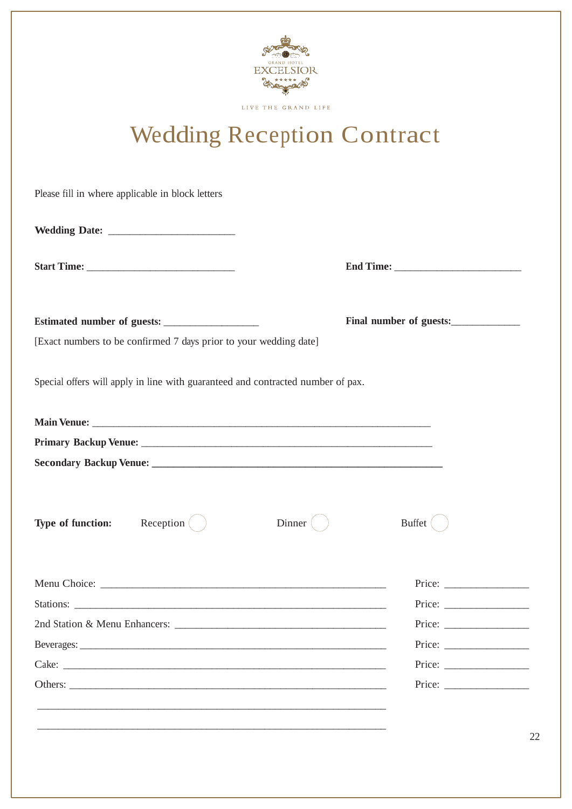

LIVE THE GRAND LIFE

# Wedding Reception Contract

| Please fill in where applicable in block letters                                |                                                                                                                                                                                                                                                                                                                                                                                                                            |
|---------------------------------------------------------------------------------|----------------------------------------------------------------------------------------------------------------------------------------------------------------------------------------------------------------------------------------------------------------------------------------------------------------------------------------------------------------------------------------------------------------------------|
|                                                                                 |                                                                                                                                                                                                                                                                                                                                                                                                                            |
|                                                                                 |                                                                                                                                                                                                                                                                                                                                                                                                                            |
|                                                                                 | Final number of guests:                                                                                                                                                                                                                                                                                                                                                                                                    |
| [Exact numbers to be confirmed 7 days prior to your wedding date]               |                                                                                                                                                                                                                                                                                                                                                                                                                            |
| Special offers will apply in line with guaranteed and contracted number of pax. |                                                                                                                                                                                                                                                                                                                                                                                                                            |
|                                                                                 |                                                                                                                                                                                                                                                                                                                                                                                                                            |
|                                                                                 |                                                                                                                                                                                                                                                                                                                                                                                                                            |
|                                                                                 |                                                                                                                                                                                                                                                                                                                                                                                                                            |
|                                                                                 |                                                                                                                                                                                                                                                                                                                                                                                                                            |
| <b>Type of function:</b> Reception (                                            | Dinner (<br><b>Buffet</b>                                                                                                                                                                                                                                                                                                                                                                                                  |
|                                                                                 |                                                                                                                                                                                                                                                                                                                                                                                                                            |
|                                                                                 | Price:                                                                                                                                                                                                                                                                                                                                                                                                                     |
|                                                                                 |                                                                                                                                                                                                                                                                                                                                                                                                                            |
|                                                                                 | Price: $\frac{1}{\sqrt{1-\frac{1}{2}}\cdot\frac{1}{2}}$                                                                                                                                                                                                                                                                                                                                                                    |
|                                                                                 | Price: $\frac{1}{\sqrt{1-\frac{1}{2}}\cdot\frac{1}{\sqrt{1-\frac{1}{2}}\cdot\frac{1}{\sqrt{1-\frac{1}{2}}\cdot\frac{1}{\sqrt{1-\frac{1}{2}}\cdot\frac{1}{\sqrt{1-\frac{1}{2}}\cdot\frac{1}{\sqrt{1-\frac{1}{2}}\cdot\frac{1}{\sqrt{1-\frac{1}{2}}\cdot\frac{1}{\sqrt{1-\frac{1}{2}}\cdot\frac{1}{\sqrt{1-\frac{1}{2}}\cdot\frac{1}{\sqrt{1-\frac{1}{2}}\cdot\frac{1}{\sqrt{1-\frac{1}{2}}\cdot\frac{1}{\sqrt{1-\frac{1}{2$ |